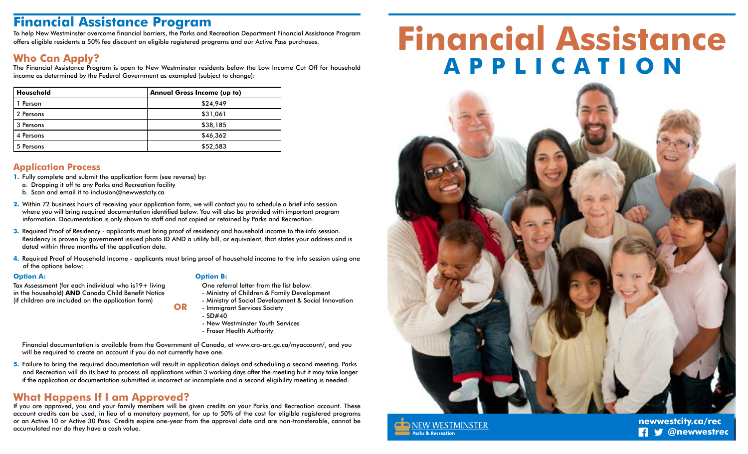# **Financial Assistance Program**

To help New Westminster overcome financial barriers, the Parks and Recreation Department Financial Assistance Program offers eligible residents a 50% fee discount on eligible registered programs and our Active Pass purchases.

## **Who Can Apply?**

The Financial Assistance Program is open to New Westminster residents below the Low Income Cut Off for household income as determined by the Federal Government as exampled (subject to change):

| Household | <b>Annual Gross Income (up to)</b> |  |  |  |
|-----------|------------------------------------|--|--|--|
| 1 Person  | \$24,949                           |  |  |  |
| 2 Persons | \$31,061                           |  |  |  |
| 3 Persons | \$38,185                           |  |  |  |
| 4 Persons | \$46,362                           |  |  |  |
| 5 Persons | \$52,583                           |  |  |  |

### **Application Process**

- **1.** Fully complete and submit the application form (see reverse) by:
- a. Dropping it off to any Parks and Recreation facility
- b. Scan and email it to inclusion@newwestcity.ca
- **2.** Within 72 business hours of receiving your application form, we will contact you to schedule a brief info session where you will bring required documentation identified below. You will also be provided with important program information. Documentation is only shown to staff and not copied or retained by Parks and Recreation.
- **3.** Required Proof of Residency applicants must bring proof of residency and household income to the info session. Residency is proven by government issued photo ID AND a utility bill, or equivalent, that states your address and is dated within three months of the application date.
- **4.** Required Proof of Household Income applicants must bring proof of household income to the info session using one of the options below:

**OR**

Tax Assessment (for each individual who is19+ living in the household) **AND** Canada Child Benefit Notice (if children are included on the application form)

#### **Option A: Option B:**

- One referral letter from the list below:
- Ministry of Children & Family Development
- Ministry of Social Development & Social Innovation
- Immigrant Services Society
- $-$  SD#40
- New Westminster Youth Services
- Fraser Health Authority

Financial documentation is available from the Government of Canada, at www.cra-arc.gc.ca/myaccount/, and you will be required to create an account if you do not currently have one.

**5.** Failure to bring the required documentation will result in application delays and scheduling a second meeting. Parks and Recreation will do its best to process all applications within 3 working days after the meeting but it may take longer if the application or documentation submitted is incorrect or incomplete and a second eligibility meeting is needed.

# **What Happens If I am Approved?**

If you are approved, you and your family members will be given credits on your Parks and Recreation account. These account credits can be used, in lieu of a monetary payment, for up to 50% of the cost for eligible registered programs or an Active 10 or Active 30 Pass. Credits expire one-year from the approval date and are non-transferable, cannot be accumulated nor do they have a cash value.

# **Financial Assistance APPLICATION**





**B @newwestrec newwestcity.ca/rec**